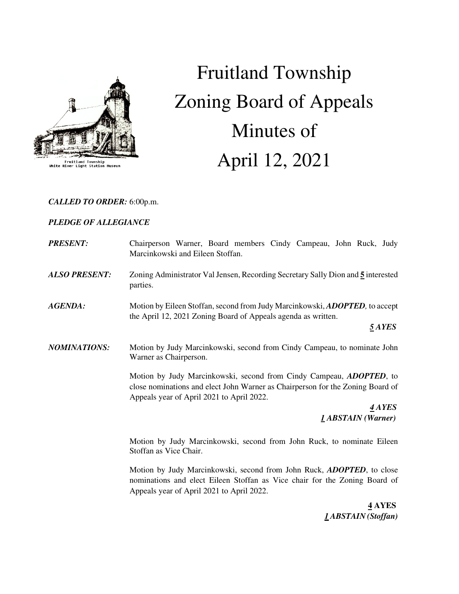

Fruitland Township<br>White River Light Station Museu

# Fruitland Township Zoning Board of Appeals Minutes of April 12, 2021

# *CALLED TO ORDER:* 6:00p.m.

# *PLEDGE OF ALLEGIANCE*

| <b>PRESENT:</b>      | Chairperson Warner, Board members Cindy Campeau, John Ruck, Judy<br>Marcinkowski and Eileen Stoffan.                                                                                                       |
|----------------------|------------------------------------------------------------------------------------------------------------------------------------------------------------------------------------------------------------|
| <b>ALSO PRESENT:</b> | Zoning Administrator Val Jensen, Recording Secretary Sally Dion and 5 interested<br>parties.                                                                                                               |
| <b>AGENDA:</b>       | Motion by Eileen Stoffan, second from Judy Marcinkowski, ADOPTED, to accept<br>the April 12, 2021 Zoning Board of Appeals agenda as written.<br>5 AYES                                                     |
| <b>NOMINATIONS:</b>  | Motion by Judy Marcinkowski, second from Cindy Campeau, to nominate John<br>Warner as Chairperson.                                                                                                         |
|                      | Motion by Judy Marcinkowski, second from Cindy Campeau, <i>ADOPTED</i> , to<br>close nominations and elect John Warner as Chairperson for the Zoning Board of<br>Appeals year of April 2021 to April 2022. |
|                      | 4 AYES<br>1 ABSTAIN (Warner)                                                                                                                                                                               |
|                      | Motion by Judy Marcinkowski, second from John Ruck, to nominate Eileen<br>Stoffan as Vice Chair.                                                                                                           |
|                      | Motion by Judy Marcinkowski, second from John Ruck, <i>ADOPTED</i> , to close<br>nominations and elect Eileen Stoffan as Vice chair for the Zoning Board of                                                |

Appeals year of April 2021 to April 2022.

 **4 AYES**   *1 ABSTAIN (Stoffan)*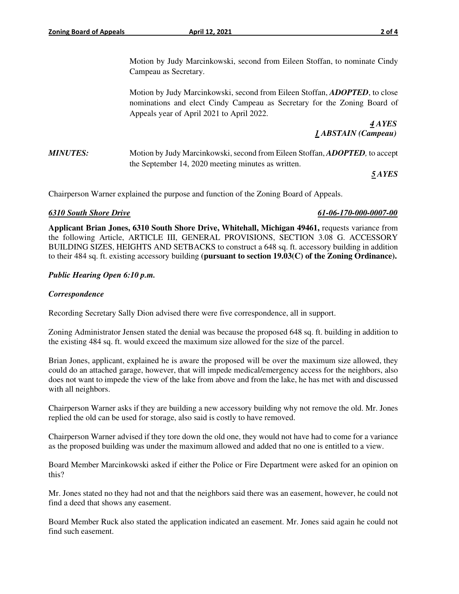Motion by Judy Marcinkowski, second from Eileen Stoffan, to nominate Cindy Campeau as Secretary.

 Motion by Judy Marcinkowski, second from Eileen Stoffan, *ADOPTED*, to close nominations and elect Cindy Campeau as Secretary for the Zoning Board of Appeals year of April 2021 to April 2022.

 *4 AYES 1 ABSTAIN (Campeau)* 

*MINUTES:* Motion by Judy Marcinkowski, second from Eileen Stoffan, *ADOPTED*, to accept the September 14, 2020 meeting minutes as written.

*5 AYES* 

Chairperson Warner explained the purpose and function of the Zoning Board of Appeals.

# *6310 South Shore Drive 61-06-170-000-0007-00*

**Applicant Brian Jones, 6310 South Shore Drive, Whitehall, Michigan 49461,** requests variance from the following Article, ARTICLE III, GENERAL PROVISIONS, SECTION 3.08 G. ACCESSORY BUILDING SIZES, HEIGHTS AND SETBACKS to construct a 648 sq. ft. accessory building in addition to their 484 sq. ft. existing accessory building **(pursuant to section 19.03(C) of the Zoning Ordinance).**

# *Public Hearing Open 6:10 p.m.*

# *Correspondence*

Recording Secretary Sally Dion advised there were five correspondence, all in support.

Zoning Administrator Jensen stated the denial was because the proposed 648 sq. ft. building in addition to the existing 484 sq. ft. would exceed the maximum size allowed for the size of the parcel.

Brian Jones, applicant, explained he is aware the proposed will be over the maximum size allowed, they could do an attached garage, however, that will impede medical/emergency access for the neighbors, also does not want to impede the view of the lake from above and from the lake, he has met with and discussed with all neighbors.

Chairperson Warner asks if they are building a new accessory building why not remove the old. Mr. Jones replied the old can be used for storage, also said is costly to have removed.

Chairperson Warner advised if they tore down the old one, they would not have had to come for a variance as the proposed building was under the maximum allowed and added that no one is entitled to a view.

Board Member Marcinkowski asked if either the Police or Fire Department were asked for an opinion on this?

Mr. Jones stated no they had not and that the neighbors said there was an easement, however, he could not find a deed that shows any easement.

Board Member Ruck also stated the application indicated an easement. Mr. Jones said again he could not find such easement.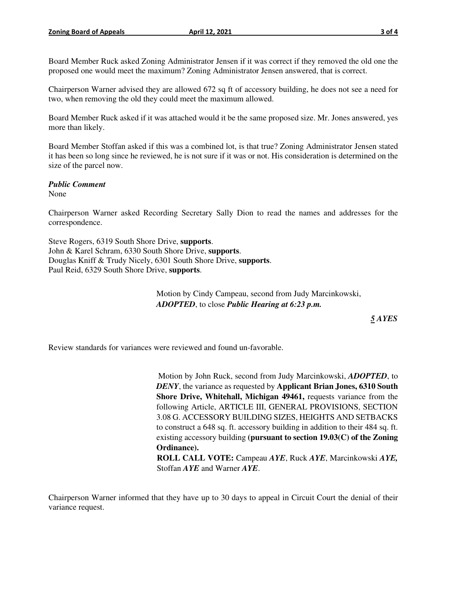Board Member Ruck asked Zoning Administrator Jensen if it was correct if they removed the old one the proposed one would meet the maximum? Zoning Administrator Jensen answered, that is correct.

Chairperson Warner advised they are allowed 672 sq ft of accessory building, he does not see a need for two, when removing the old they could meet the maximum allowed.

Board Member Ruck asked if it was attached would it be the same proposed size. Mr. Jones answered, yes more than likely.

Board Member Stoffan asked if this was a combined lot, is that true? Zoning Administrator Jensen stated it has been so long since he reviewed, he is not sure if it was or not. His consideration is determined on the size of the parcel now.

### *Public Comment*

None

Chairperson Warner asked Recording Secretary Sally Dion to read the names and addresses for the correspondence.

Steve Rogers, 6319 South Shore Drive, **supports**. John & Karel Schram, 6330 South Shore Drive, **supports**. Douglas Kniff & Trudy Nicely, 6301 South Shore Drive, **supports**. Paul Reid, 6329 South Shore Drive, **supports**.

> Motion by Cindy Campeau, second from Judy Marcinkowski, *ADOPTED*, to close *Public Hearing at 6:23 p.m.*

*5 AYES* 

Review standards for variances were reviewed and found un-favorable.

Motion by John Ruck, second from Judy Marcinkowski, *ADOPTED*, to *DENY*, the variance as requested by **Applicant Brian Jones, 6310 South Shore Drive, Whitehall, Michigan 49461,** requests variance from the following Article, ARTICLE III, GENERAL PROVISIONS, SECTION 3.08 G. ACCESSORY BUILDING SIZES, HEIGHTS AND SETBACKS to construct a 648 sq. ft. accessory building in addition to their 484 sq. ft. existing accessory building **(pursuant to section 19.03(C) of the Zoning Ordinance). ROLL CALL VOTE:** Campeau *AYE*, Ruck *AYE*, Marcinkowski *AYE,* 

Stoffan *AYE* and Warner *AYE*.

Chairperson Warner informed that they have up to 30 days to appeal in Circuit Court the denial of their variance request.